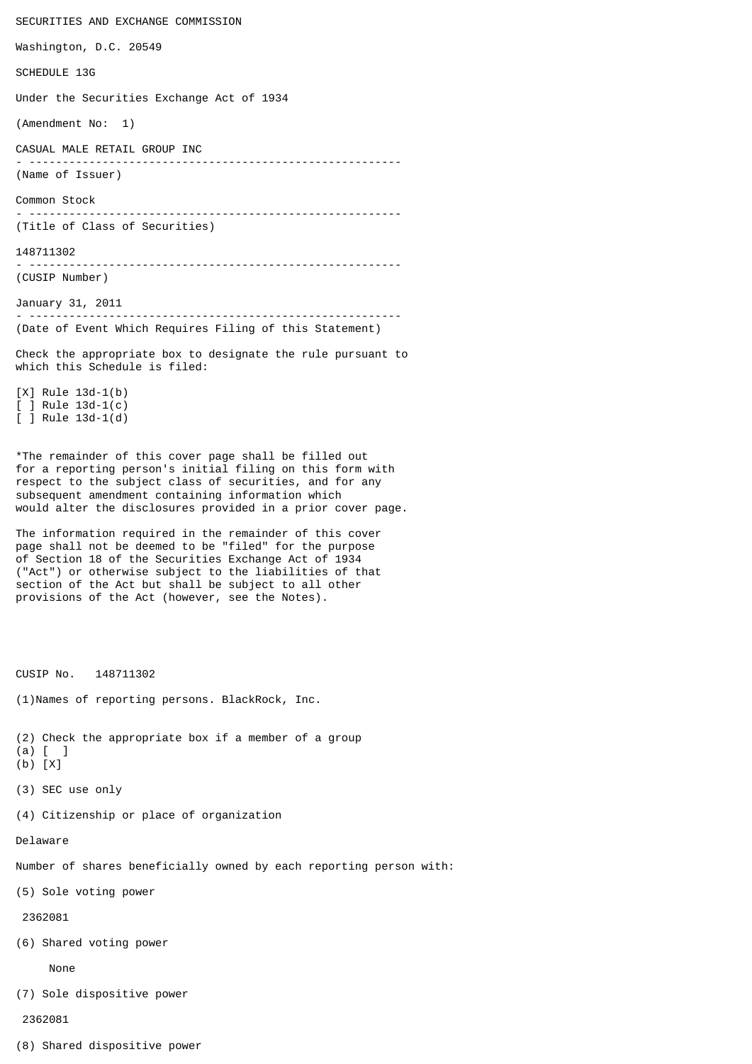SECURITIES AND EXCHANGE COMMISSION Washington, D.C. 20549 SCHEDULE 13G Under the Securities Exchange Act of 1934 (Amendment No: 1) CASUAL MALE RETAIL GROUP INC - -------------------------------------------------------- (Name of Issuer) Common Stock - -------------------------------------------------------- (Title of Class of Securities) 148711302 - -------------------------------------------------------- (CUSIP Number) January 31, 2011 - -------------------------------------------------------- (Date of Event Which Requires Filing of this Statement) Check the appropriate box to designate the rule pursuant to which this Schedule is filed: [X] Rule 13d-1(b) [ ] Rule 13d-1(c) [ ] Rule 13d-1(d) \*The remainder of this cover page shall be filled out for a reporting person's initial filing on this form with respect to the subject class of securities, and for any subsequent amendment containing information which would alter the disclosures provided in a prior cover page. The information required in the remainder of this cover

page shall not be deemed to be "filed" for the purpose of Section 18 of the Securities Exchange Act of 1934 ("Act") or otherwise subject to the liabilities of that section of the Act but shall be subject to all other provisions of the Act (however, see the Notes).

CUSIP No. 148711302

(1)Names of reporting persons. BlackRock, Inc.

(2) Check the appropriate box if a member of a group

(a) [ ] (b) [X]

(3) SEC use only

(4) Citizenship or place of organization

Delaware

Number of shares beneficially owned by each reporting person with:

(5) Sole voting power

2362081

(6) Shared voting power

None

(7) Sole dispositive power

2362081

(8) Shared dispositive power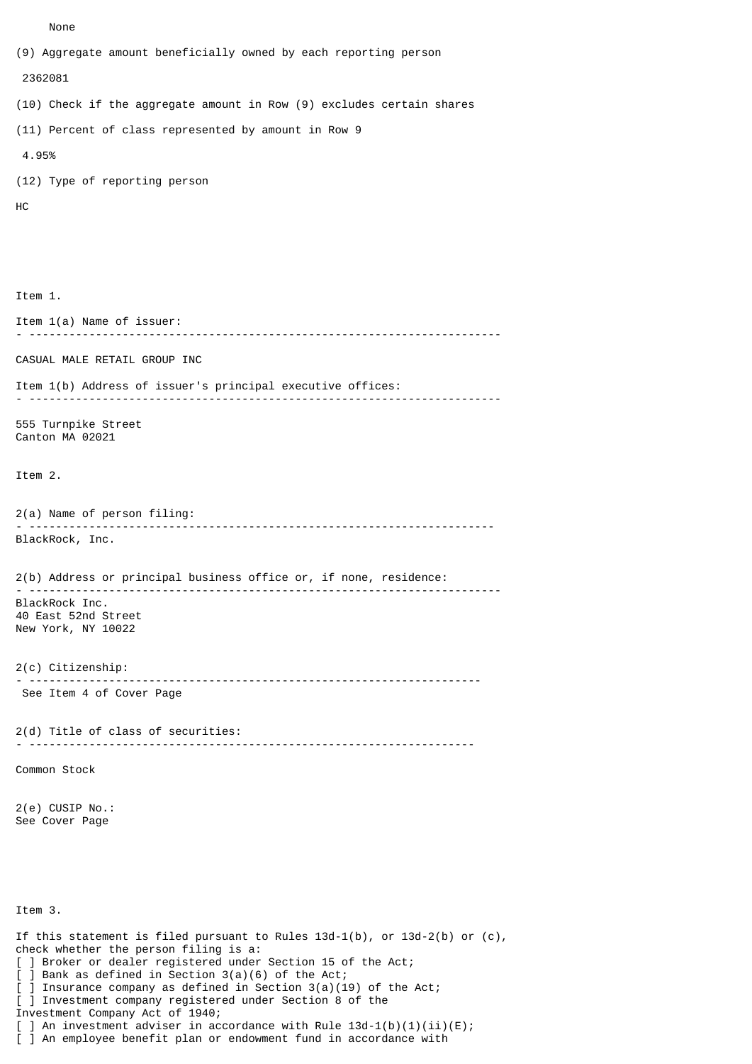```
(9) Aggregate amount beneficially owned by each reporting person
  2362081
(10) Check if the aggregate amount in Row (9) excludes certain shares
(11) Percent of class represented by amount in Row 9
  4.95%
(12) Type of reporting person
HC
Item 1.
Item 1(a) Name of issuer:
    - -----------------------------------------------------------------------
CASUAL MALE RETAIL GROUP INC
Item 1(b) Address of issuer's principal executive offices:
- -----------------------------------------------------------------------
555 Turnpike Street
Canton MA 02021
Item 2.
2(a) Name of person filing:
                     - ----------------------------------------------------------------------
BlackRock, Inc.
2(b) Address or principal business office or, if none, residence:
- -----------------------------------------------------------------------
BlackRock Inc.
40 East 52nd Street
New York, NY 10022
2(c) Citizenship:
                        - --------------------------------------------------------------------
 See Item 4 of Cover Page
2(d) Title of class of securities:
                                     - -------------------------------------------------------------------
Common Stock
2(e) CUSIP No.:
See Cover Page
Item 3.
If this statement is filed pursuant to Rules 13d-1(b), or 13d-2(b) or (c),
check whether the person filing is a:
[ ] Broker or dealer registered under Section 15 of the Act;
[ ] Bank as defined in Section 3(a)(6) of the Act;
[ ] Insurance company as defined in Section 3(a)(19) of the Act;
[ ] Investment company registered under Section 8 of the
Investment Company Act of 1940;
[ ] An investment adviser in accordance with Rule 13d-1(b)(1)(ii)(E);
[ ] An employee benefit plan or endowment fund in accordance with
```
None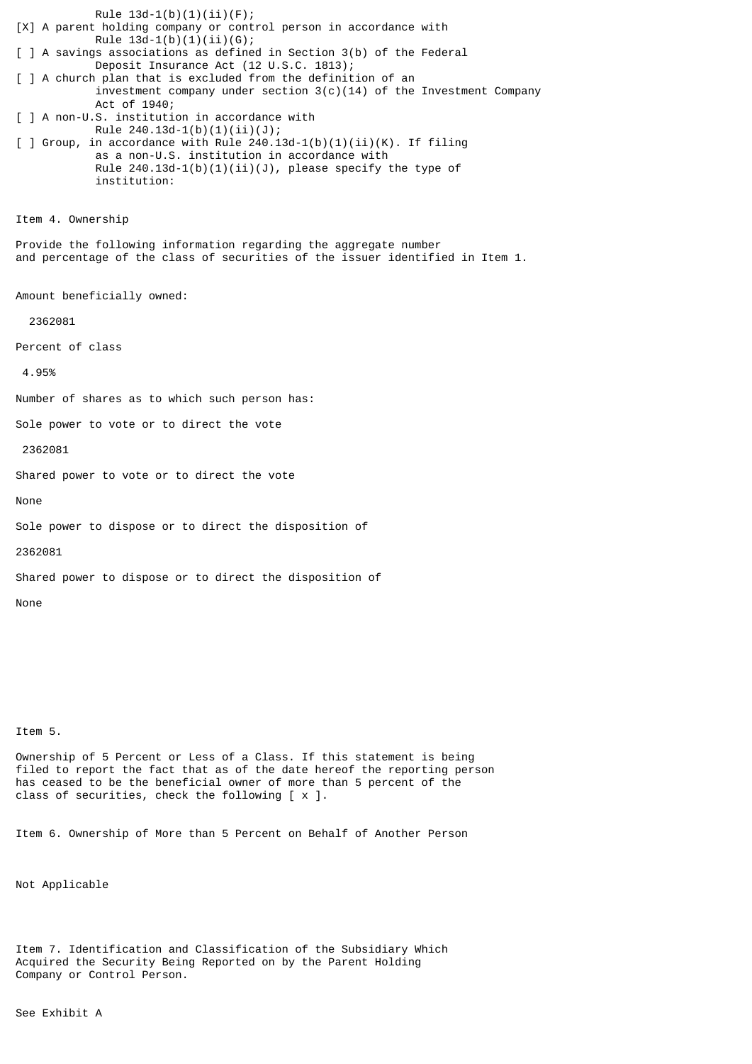Rule  $13d-1(b)(1)(ii)(F);$ [X] A parent holding company or control person in accordance with Rule  $13d-1(b)(1)(ii)(G);$ [ ] A savings associations as defined in Section 3(b) of the Federal Deposit Insurance Act (12 U.S.C. 1813); [ ] A church plan that is excluded from the definition of an investment company under section  $3(c)(14)$  of the Investment Company Act of 1940; [ ] A non-U.S. institution in accordance with Rule  $240.13d-1(b)(1)(ii)(J);$ [ ] Group, in accordance with Rule  $240.13d-1(b)(1)(ii)(K)$ . If filing as a non-U.S. institution in accordance with Rule  $240.13d-1(b)(1)(ii)(J)$ , please specify the type of institution: Item 4. Ownership Provide the following information regarding the aggregate number and percentage of the class of securities of the issuer identified in Item 1. Amount beneficially owned: 2362081 Percent of class 4.95% Number of shares as to which such person has: Sole power to vote or to direct the vote 2362081 Shared power to vote or to direct the vote None Sole power to dispose or to direct the disposition of 2362081 Shared power to dispose or to direct the disposition of

Item 5.

None

Ownership of 5 Percent or Less of a Class. If this statement is being filed to report the fact that as of the date hereof the reporting person has ceased to be the beneficial owner of more than 5 percent of the class of securities, check the following [ x ].

Item 6. Ownership of More than 5 Percent on Behalf of Another Person

Not Applicable

Item 7. Identification and Classification of the Subsidiary Which Acquired the Security Being Reported on by the Parent Holding Company or Control Person.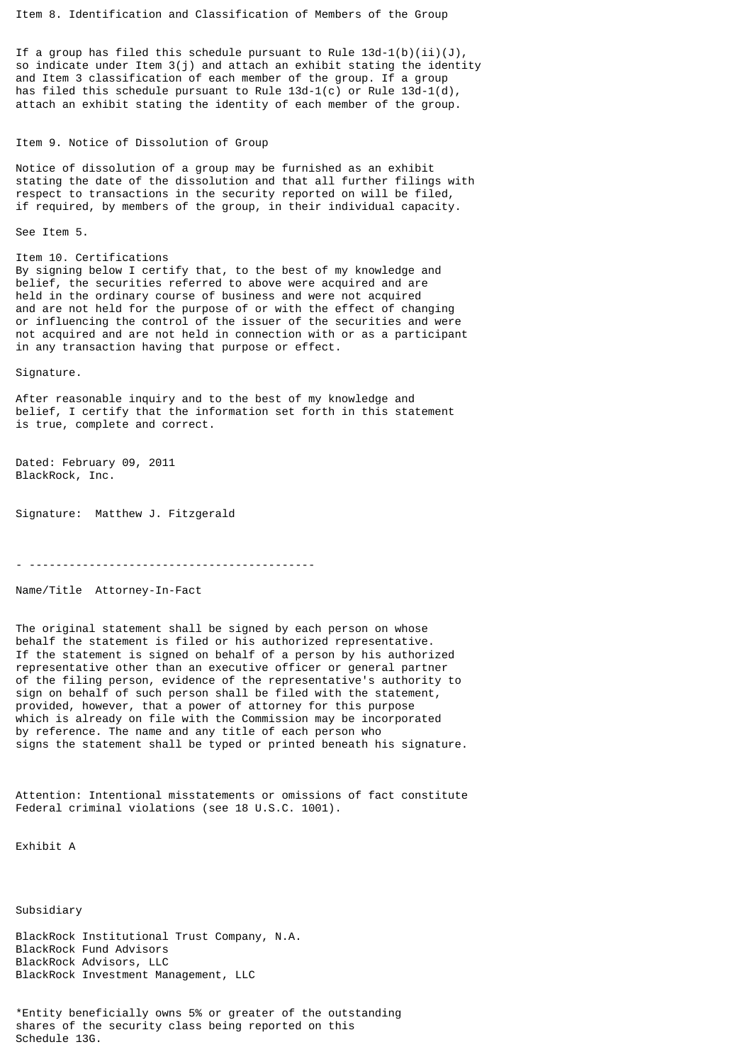Item 8. Identification and Classification of Members of the Group

If a group has filed this schedule pursuant to Rule  $13d-1(b)(ii)(J)$ , so indicate under Item  $3(j)$  and attach an exhibit stating the identity and Item 3 classification of each member of the group. If a group has filed this schedule pursuant to Rule 13d-1(c) or Rule 13d-1(d), attach an exhibit stating the identity of each member of the group.

## Item 9. Notice of Dissolution of Group

Notice of dissolution of a group may be furnished as an exhibit stating the date of the dissolution and that all further filings with respect to transactions in the security reported on will be filed, if required, by members of the group, in their individual capacity.

See Item 5.

## Item 10. Certifications

By signing below I certify that, to the best of my knowledge and belief, the securities referred to above were acquired and are held in the ordinary course of business and were not acquired and are not held for the purpose of or with the effect of changing or influencing the control of the issuer of the securities and were not acquired and are not held in connection with or as a participant in any transaction having that purpose or effect.

Signature.

After reasonable inquiry and to the best of my knowledge and belief, I certify that the information set forth in this statement is true, complete and correct.

Dated: February 09, 2011 BlackRock, Inc.

Signature: Matthew J. Fitzgerald

- -------------------------------------------

Name/Title Attorney-In-Fact

The original statement shall be signed by each person on whose behalf the statement is filed or his authorized representative. If the statement is signed on behalf of a person by his authorized representative other than an executive officer or general partner of the filing person, evidence of the representative's authority to sign on behalf of such person shall be filed with the statement, provided, however, that a power of attorney for this purpose which is already on file with the Commission may be incorporated by reference. The name and any title of each person who signs the statement shall be typed or printed beneath his signature.

Attention: Intentional misstatements or omissions of fact constitute Federal criminal violations (see 18 U.S.C. 1001).

Exhibit A

Subsidiary

BlackRock Institutional Trust Company, N.A. BlackRock Fund Advisors BlackRock Advisors, LLC BlackRock Investment Management, LLC

\*Entity beneficially owns 5% or greater of the outstanding shares of the security class being reported on this Schedule 13G.